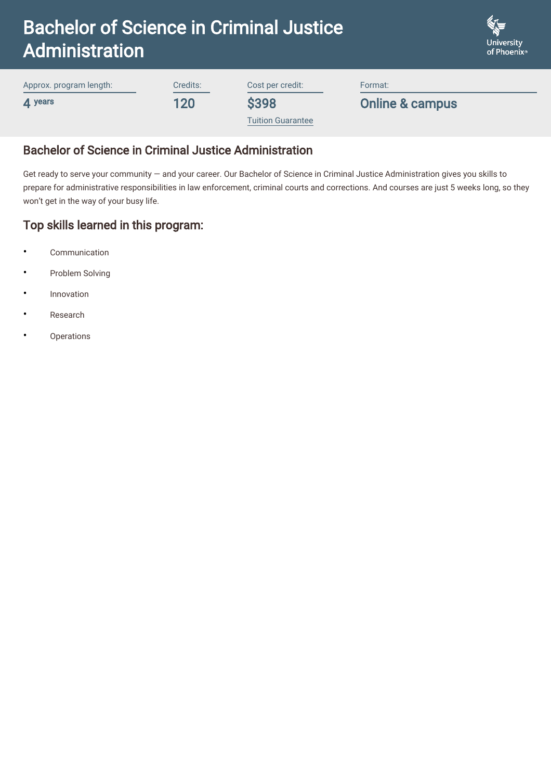| <b>Bachelor of Science in Criminal Justice</b> |          |                  |         | <b>University</b> |
|------------------------------------------------|----------|------------------|---------|-------------------|
| <b>Administration</b>                          |          |                  |         | of Phoenix®       |
| Approx. program length:                        | Credits: | Cost per credit: | Format: |                   |

\$398

4 years

Credits: 120

Cost per credit:

[Tuition Guarantee](https://www.phoenix.edu/content/altcloud/en/tuition_and_financial_options/tuition_and_fees.html)

Online & campus

 $\mathbb{Z}$ a

# Bachelor of Science in Criminal Justice Administration

Get ready to serve your community — and your career. Our Bachelor of Science in Criminal Justice Administration gives you skills to prepare for administrative responsibilities in law enforcement, criminal courts and corrections. And courses are just 5 weeks long, so they won't get in the way of your busy life.

## Top skills learned in this program:

- Communication
- Problem Solving
- **Innovation**
- Research
- **Operations**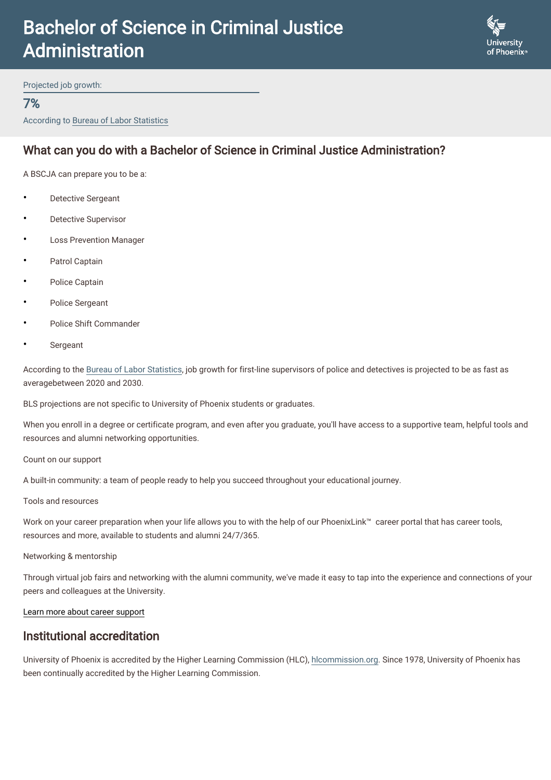# Bachelor of Science in Criminal Justice Administration



Projected job growth:

#### 7%

According to Bureau of Labor Statistics

# What can you do with a Bachelor of Science in Criminal Justice Administration?

A BSCJA can prepare you to be a:

- **Detective Sergeant**
- Detective Supervisor
- **Loss Prevention Manager**
- Patrol Captain
- Police Captain
- Police Sergeant
- Police Shift Commander
- **Sergeant**

According to the [Bureau of Labor Statistics,](https://www.bls.gov/ooh/protective-service/police-and-detectives.htm) job growth for first-line supervisors of police and detectives is projected to be as fast as averagebetween 2020 and 2030.

BLS projections are not specific to University of Phoenix students or graduates.

When you enroll in a degree or certificate program, and even after you graduate, you'll have access to a supportive team, helpful tools and resources and alumni networking opportunities.

Count on our support

A built-in community: a team of people ready to help you succeed throughout your educational journey.

#### Tools and resources

Work on your career preparation when your life allows you to with the help of our PhoenixLink™ career portal that has career tools, resources and more, available to students and alumni 24/7/365.

Networking & mentorship

Through virtual job fairs and networking with the alumni community, we've made it easy to tap into the experience and connections of your peers and colleagues at the University.

#### [Learn more about career support](https://www.phoenix.edu/career-services.html)

#### Institutional accreditation

University of Phoenix is accredited by the Higher Learning Commission (HLC), [hlcommission.org](https://www.hlcommission.org/). Since 1978, University of Phoenix has been continually accredited by the Higher Learning Commission.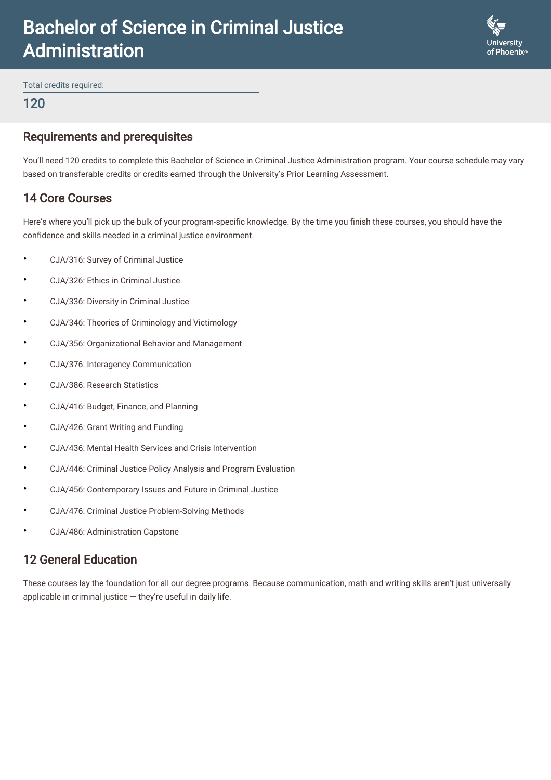# Bachelor of Science in Criminal Justice Administration



Total credits required:

#### 120

### Requirements and prerequisites

You'll need 120 credits to complete this Bachelor of Science in Criminal Justice Administration program. Your course schedule may vary based on transferable credits or credits earned through the University's Prior Learning Assessment.

## 14 Core Courses

Here's where you'll pick up the bulk of your program-specific knowledge. By the time you finish these courses, you should have the confidence and skills needed in a criminal justice environment.

- CJA/316: Survey of Criminal Justice
- CJA/326: Ethics in Criminal Justice
- CJA/336: Diversity in Criminal Justice
- CJA/346: Theories of Criminology and Victimology
- CJA/356: Organizational Behavior and Management
- CJA/376: Interagency Communication
- CJA/386: Research Statistics
- CJA/416: Budget, Finance, and Planning
- CJA/426: Grant Writing and Funding
- CJA/436: Mental Health Services and Crisis Intervention
- CJA/446: Criminal Justice Policy Analysis and Program Evaluation
- CJA/456: Contemporary Issues and Future in Criminal Justice
- CJA/476: Criminal Justice Problem-Solving Methods
- CJA/486: Administration Capstone

## 12 General Education

These courses lay the foundation for all our degree programs. Because communication, math and writing skills aren't just universally applicable in criminal justice  $-$  they're useful in daily life.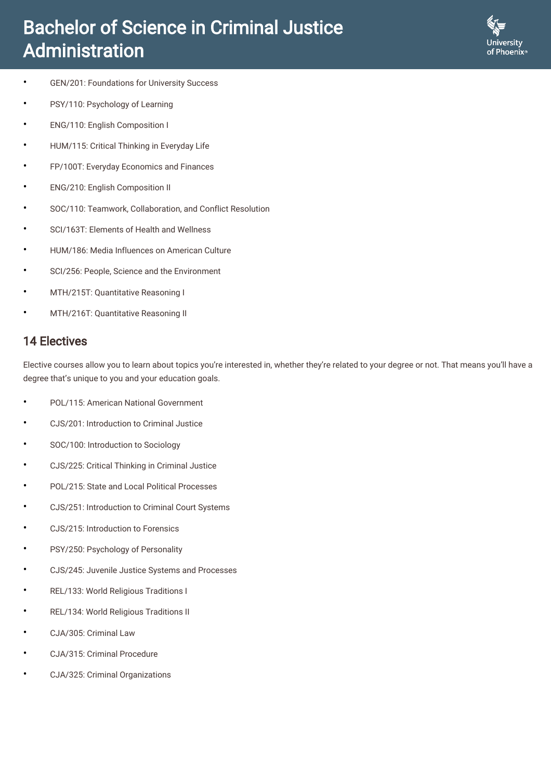# Bachelor of Science in Criminal Justice Administration



- GEN/201: Foundations for University Success
- PSY/110: Psychology of Learning
- ENG/110: English Composition I
- HUM/115: Critical Thinking in Everyday Life
- FP/100T: Everyday Economics and Finances
- ENG/210: English Composition II
- SOC/110: Teamwork, Collaboration, and Conflict Resolution
- SCI/163T: Elements of Health and Wellness
- HUM/186: Media Influences on American Culture
- SCI/256: People, Science and the Environment
- MTH/215T: Quantitative Reasoning I
- MTH/216T: Quantitative Reasoning II

# 14 Electives

Elective courses allow you to learn about topics you're interested in, whether they're related to your degree or not. That means you'll have a degree that's unique to you and your education goals.

- POL/115: American National Government
- CJS/201: Introduction to Criminal Justice
- SOC/100: Introduction to Sociology
- CJS/225: Critical Thinking in Criminal Justice
- POL/215: State and Local Political Processes
- CJS/251: Introduction to Criminal Court Systems
- CJS/215: Introduction to Forensics
- PSY/250: Psychology of Personality
- CJS/245: Juvenile Justice Systems and Processes
- REL/133: World Religious Traditions I
- REL/134: World Religious Traditions II
- CJA/305: Criminal Law
- CJA/315: Criminal Procedure
- CJA/325: Criminal Organizations